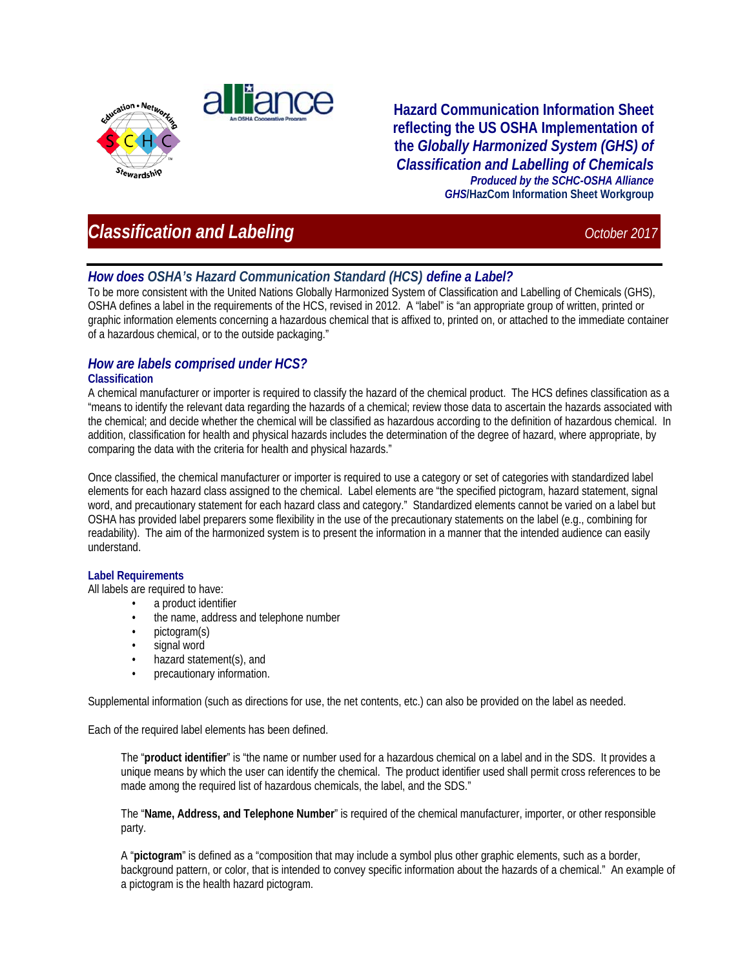



**Hazard Communication Information Sheet reflecting the US OSHA Implementation of the** *Globally Harmonized System (GHS) of Classification and Labelling of Chemicals Produced by the SCHC-OSHA Alliance GHS***/HazCom Information Sheet Workgroup**

# **Classification and Labeling** *Classification and Labeling October 2017*

## *How does OSHA's Hazard Communication Standard (HCS) define a Label?*

To be more consistent with the United Nations Globally Harmonized System of Classification and Labelling of Chemicals (GHS), OSHA defines a label in the requirements of the HCS, revised in 2012. A "label" is "an appropriate group of written, printed or graphic information elements concerning a hazardous chemical that is affixed to, printed on, or attached to the immediate container of a hazardous chemical, or to the outside packaging."

## *How are labels comprised under HCS?*

#### **Classification**

A chemical manufacturer or importer is required to classify the hazard of the chemical product. The HCS defines classification as a "means to identify the relevant data regarding the hazards of a chemical; review those data to ascertain the hazards associated with the chemical; and decide whether the chemical will be classified as hazardous according to the definition of hazardous chemical. In addition, classification for health and physical hazards includes the determination of the degree of hazard, where appropriate, by comparing the data with the criteria for health and physical hazards."

Once classified, the chemical manufacturer or importer is required to use a category or set of categories with standardized label elements for each hazard class assigned to the chemical. Label elements are "the specified pictogram, hazard statement, signal word, and precautionary statement for each hazard class and category." Standardized elements cannot be varied on a label but OSHA has provided label preparers some flexibility in the use of the precautionary statements on the label (e.g., combining for readability). The aim of the harmonized system is to present the information in a manner that the intended audience can easily understand.

#### **Label Requirements**

All labels are required to have:

- a product identifier
- the name, address and telephone number
- pictogram(s)
- signal word
- hazard statement(s), and
- precautionary information.

Supplemental information (such as directions for use, the net contents, etc.) can also be provided on the label as needed.

Each of the required label elements has been defined.

The "**product identifier**" is "the name or number used for a hazardous chemical on a label and in the SDS. It provides a unique means by which the user can identify the chemical. The product identifier used shall permit cross references to be made among the required list of hazardous chemicals, the label, and the SDS."

The "**Name, Address, and Telephone Number**" is required of the chemical manufacturer, importer, or other responsible party.

A "**pictogram**" is defined as a "composition that may include a symbol plus other graphic elements, such as a border, background pattern, or color, that is intended to convey specific information about the hazards of a chemical." An example of a pictogram is the health hazard pictogram.